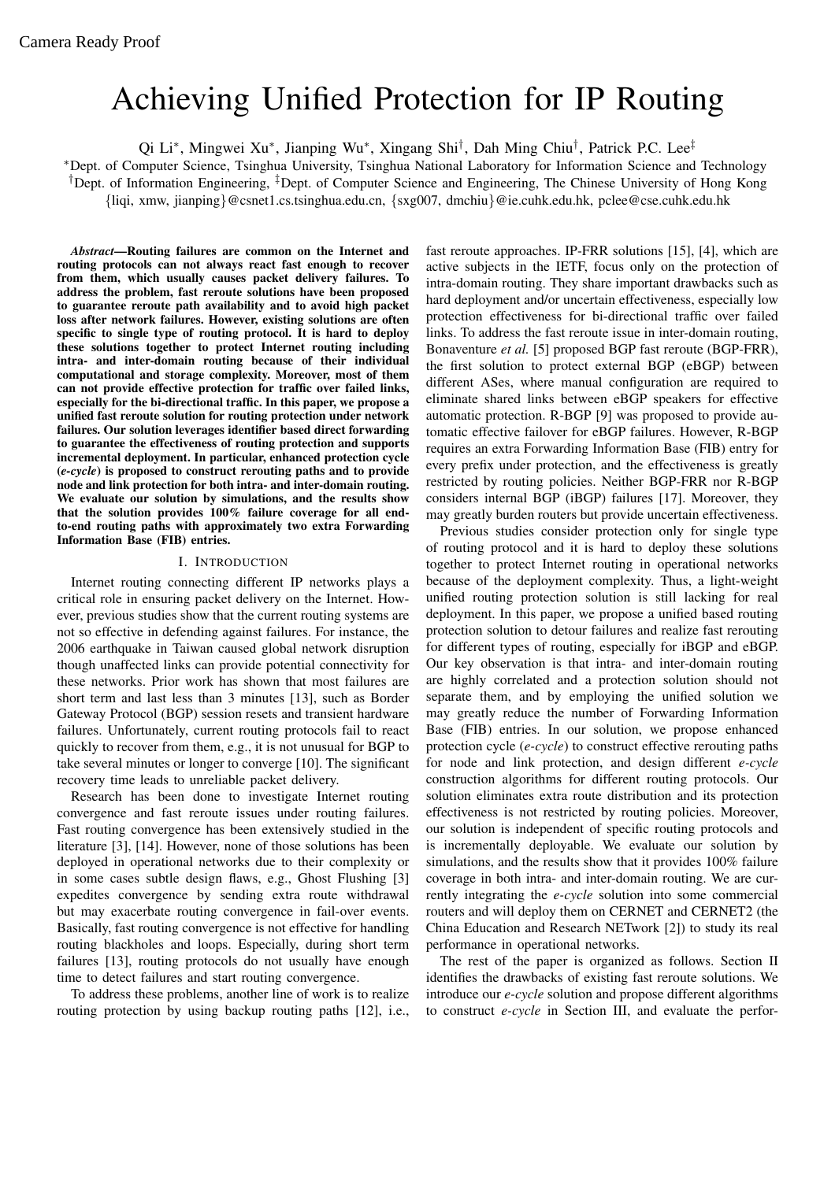# Achieving Unified Protection for IP Routing

Qi Li∗, Mingwei Xu∗, Jianping Wu∗, Xingang Shi†, Dah Ming Chiu†, Patrick P.C. Lee‡

∗Dept. of Computer Science, Tsinghua University, Tsinghua National Laboratory for Information Science and Technology

†Dept. of Information Engineering, ‡Dept. of Computer Science and Engineering, The Chinese University of Hong Kong

{liqi, xmw, jianping}@csnet1.cs.tsinghua.edu.cn, {sxg007, dmchiu}@ie.cuhk.edu.hk, pclee@cse.cuhk.edu.hk

*Abstract***—Routing failures are common on the Internet and routing protocols can not always react fast enough to recover from them, which usually causes packet delivery failures. To address the problem, fast reroute solutions have been proposed to guarantee reroute path availability and to avoid high packet loss after network failures. However, existing solutions are often specific to single type of routing protocol. It is hard to deploy these solutions together to protect Internet routing including intra- and inter-domain routing because of their individual computational and storage complexity. Moreover, most of them can not provide effective protection for traffic over failed links, especially for the bi-directional traffic. In this paper, we propose a unified fast reroute solution for routing protection under network failures. Our solution leverages identifier based direct forwarding to guarantee the effectiveness of routing protection and supports incremental deployment. In particular, enhanced protection cycle (***e-cycle***) is proposed to construct rerouting paths and to provide node and link protection for both intra- and inter-domain routing. We evaluate our solution by simulations, and the results show that the solution provides 100% failure coverage for all endto-end routing paths with approximately two extra Forwarding Information Base (FIB) entries.**

## I. INTRODUCTION

Internet routing connecting different IP networks plays a critical role in ensuring packet delivery on the Internet. However, previous studies show that the current routing systems are not so effective in defending against failures. For instance, the 2006 earthquake in Taiwan caused global network disruption though unaffected links can provide potential connectivity for these networks. Prior work has shown that most failures are short term and last less than 3 minutes [13], such as Border Gateway Protocol (BGP) session resets and transient hardware failures. Unfortunately, current routing protocols fail to react quickly to recover from them, e.g., it is not unusual for BGP to take several minutes or longer to converge [10]. The significant recovery time leads to unreliable packet delivery.

Research has been done to investigate Internet routing convergence and fast reroute issues under routing failures. Fast routing convergence has been extensively studied in the literature [3], [14]. However, none of those solutions has been deployed in operational networks due to their complexity or in some cases subtle design flaws, e.g., Ghost Flushing [3] expedites convergence by sending extra route withdrawal but may exacerbate routing convergence in fail-over events. Basically, fast routing convergence is not effective for handling routing blackholes and loops. Especially, during short term failures [13], routing protocols do not usually have enough time to detect failures and start routing convergence.

To address these problems, another line of work is to realize routing protection by using backup routing paths [12], i.e.,

fast reroute approaches. IP-FRR solutions [15], [4], which are active subjects in the IETF, focus only on the protection of intra-domain routing. They share important drawbacks such as hard deployment and/or uncertain effectiveness, especially low protection effectiveness for bi-directional traffic over failed links. To address the fast reroute issue in inter-domain routing, Bonaventure *et al.* [5] proposed BGP fast reroute (BGP-FRR), the first solution to protect external BGP (eBGP) between different ASes, where manual configuration are required to eliminate shared links between eBGP speakers for effective automatic protection. R-BGP [9] was proposed to provide automatic effective failover for eBGP failures. However, R-BGP requires an extra Forwarding Information Base (FIB) entry for every prefix under protection, and the effectiveness is greatly restricted by routing policies. Neither BGP-FRR nor R-BGP considers internal BGP (iBGP) failures [17]. Moreover, they may greatly burden routers but provide uncertain effectiveness.

Previous studies consider protection only for single type of routing protocol and it is hard to deploy these solutions together to protect Internet routing in operational networks because of the deployment complexity. Thus, a light-weight unified routing protection solution is still lacking for real deployment. In this paper, we propose a unified based routing protection solution to detour failures and realize fast rerouting for different types of routing, especially for iBGP and eBGP. Our key observation is that intra- and inter-domain routing are highly correlated and a protection solution should not separate them, and by employing the unified solution we may greatly reduce the number of Forwarding Information Base (FIB) entries. In our solution, we propose enhanced protection cycle (*e-cycle*) to construct effective rerouting paths for node and link protection, and design different *e-cycle* construction algorithms for different routing protocols. Our solution eliminates extra route distribution and its protection effectiveness is not restricted by routing policies. Moreover, our solution is independent of specific routing protocols and is incrementally deployable. We evaluate our solution by simulations, and the results show that it provides 100% failure coverage in both intra- and inter-domain routing. We are currently integrating the *e-cycle* solution into some commercial routers and will deploy them on CERNET and CERNET2 (the China Education and Research NETwork [2]) to study its real performance in operational networks.

The rest of the paper is organized as follows. Section II identifies the drawbacks of existing fast reroute solutions. We introduce our *e-cycle* solution and propose different algorithms to construct *e-cycle* in Section III, and evaluate the perfor-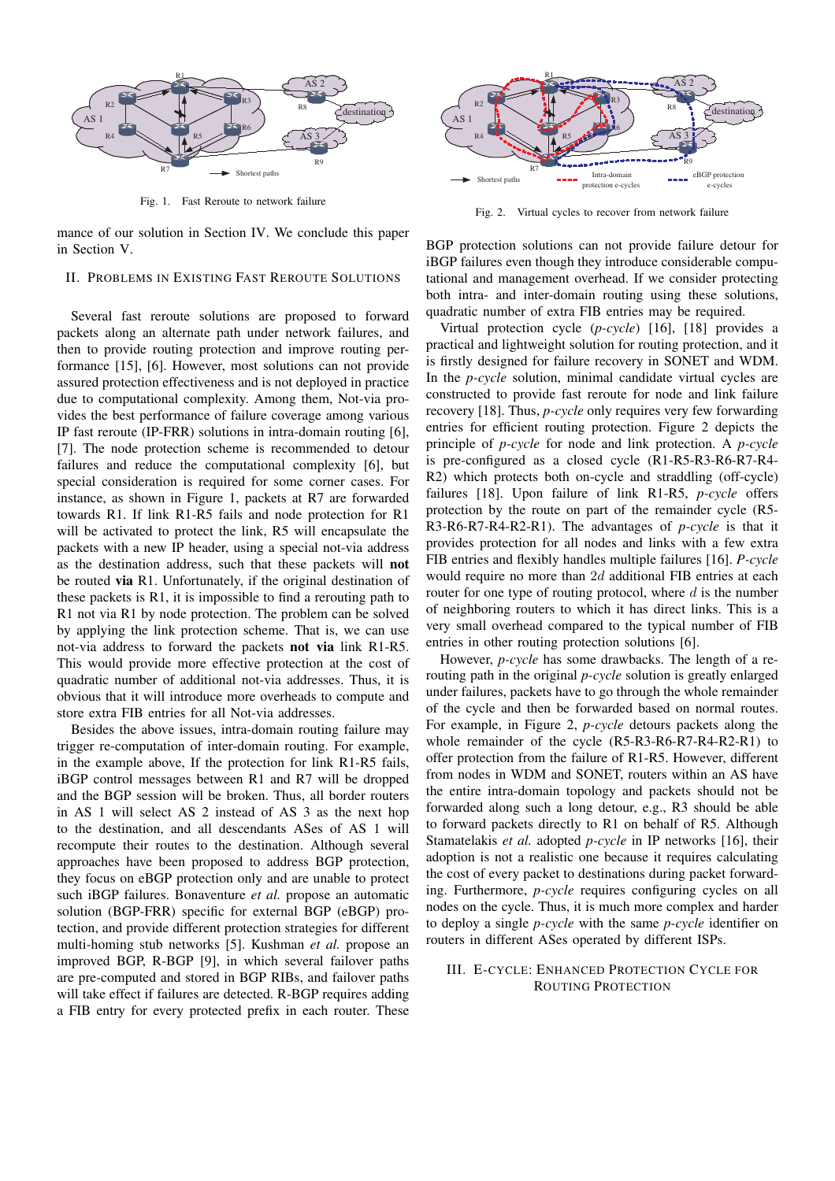

Fig. 1. Fast Reroute to network failure

mance of our solution in Section IV. We conclude this paper in Section V.

## II. PROBLEMS IN EXISTING FAST REROUTE SOLUTIONS

Several fast reroute solutions are proposed to forward packets along an alternate path under network failures, and then to provide routing protection and improve routing performance [15], [6]. However, most solutions can not provide assured protection effectiveness and is not deployed in practice due to computational complexity. Among them, Not-via provides the best performance of failure coverage among various IP fast reroute (IP-FRR) solutions in intra-domain routing [6], [7]. The node protection scheme is recommended to detour failures and reduce the computational complexity [6], but special consideration is required for some corner cases. For instance, as shown in Figure 1, packets at R7 are forwarded towards R1. If link R1-R5 fails and node protection for R1 will be activated to protect the link, R5 will encapsulate the packets with a new IP header, using a special not-via address as the destination address, such that these packets will **not** be routed **via** R1. Unfortunately, if the original destination of these packets is R1, it is impossible to find a rerouting path to R1 not via R1 by node protection. The problem can be solved by applying the link protection scheme. That is, we can use not-via address to forward the packets **not via** link R1-R5. This would provide more effective protection at the cost of quadratic number of additional not-via addresses. Thus, it is obvious that it will introduce more overheads to compute and store extra FIB entries for all Not-via addresses.

Besides the above issues, intra-domain routing failure may trigger re-computation of inter-domain routing. For example, in the example above, If the protection for link R1-R5 fails, iBGP control messages between R1 and R7 will be dropped and the BGP session will be broken. Thus, all border routers in AS 1 will select AS 2 instead of AS 3 as the next hop to the destination, and all descendants ASes of AS 1 will recompute their routes to the destination. Although several approaches have been proposed to address BGP protection, they focus on eBGP protection only and are unable to protect such iBGP failures. Bonaventure *et al.* propose an automatic solution (BGP-FRR) specific for external BGP (eBGP) protection, and provide different protection strategies for different multi-homing stub networks [5]. Kushman *et al.* propose an improved BGP, R-BGP [9], in which several failover paths are pre-computed and stored in BGP RIBs, and failover paths will take effect if failures are detected. R-BGP requires adding a FIB entry for every protected prefix in each router. These



Fig. 2. Virtual cycles to recover from network failure

BGP protection solutions can not provide failure detour for iBGP failures even though they introduce considerable computational and management overhead. If we consider protecting both intra- and inter-domain routing using these solutions, quadratic number of extra FIB entries may be required.

Virtual protection cycle (*p-cycle*) [16], [18] provides a practical and lightweight solution for routing protection, and it is firstly designed for failure recovery in SONET and WDM. In the *p-cycle* solution, minimal candidate virtual cycles are constructed to provide fast reroute for node and link failure recovery [18]. Thus, *p-cycle* only requires very few forwarding entries for efficient routing protection. Figure 2 depicts the principle of *p-cycle* for node and link protection. A *p-cycle* is pre-configured as a closed cycle (R1-R5-R3-R6-R7-R4- R2) which protects both on-cycle and straddling (off-cycle) failures [18]. Upon failure of link R1-R5, *p-cycle* offers protection by the route on part of the remainder cycle (R5- R3-R6-R7-R4-R2-R1). The advantages of *p-cycle* is that it provides protection for all nodes and links with a few extra FIB entries and flexibly handles multiple failures [16]. *P-cycle* would require no more than 2*d* additional FIB entries at each router for one type of routing protocol, where *d* is the number of neighboring routers to which it has direct links. This is a very small overhead compared to the typical number of FIB entries in other routing protection solutions [6].

However, *p-cycle* has some drawbacks. The length of a rerouting path in the original *p-cycle* solution is greatly enlarged under failures, packets have to go through the whole remainder of the cycle and then be forwarded based on normal routes. For example, in Figure 2, *p-cycle* detours packets along the whole remainder of the cycle (R5-R3-R6-R7-R4-R2-R1) to offer protection from the failure of R1-R5. However, different from nodes in WDM and SONET, routers within an AS have the entire intra-domain topology and packets should not be forwarded along such a long detour, e.g., R3 should be able to forward packets directly to R1 on behalf of R5. Although Stamatelakis *et al.* adopted *p-cycle* in IP networks [16], their adoption is not a realistic one because it requires calculating the cost of every packet to destinations during packet forwarding. Furthermore, *p-cycle* requires configuring cycles on all nodes on the cycle. Thus, it is much more complex and harder to deploy a single *p-cycle* with the same *p-cycle* identifier on routers in different ASes operated by different ISPs.

### III. E-CYCLE: ENHANCED PROTECTION CYCLE FOR ROUTING PROTECTION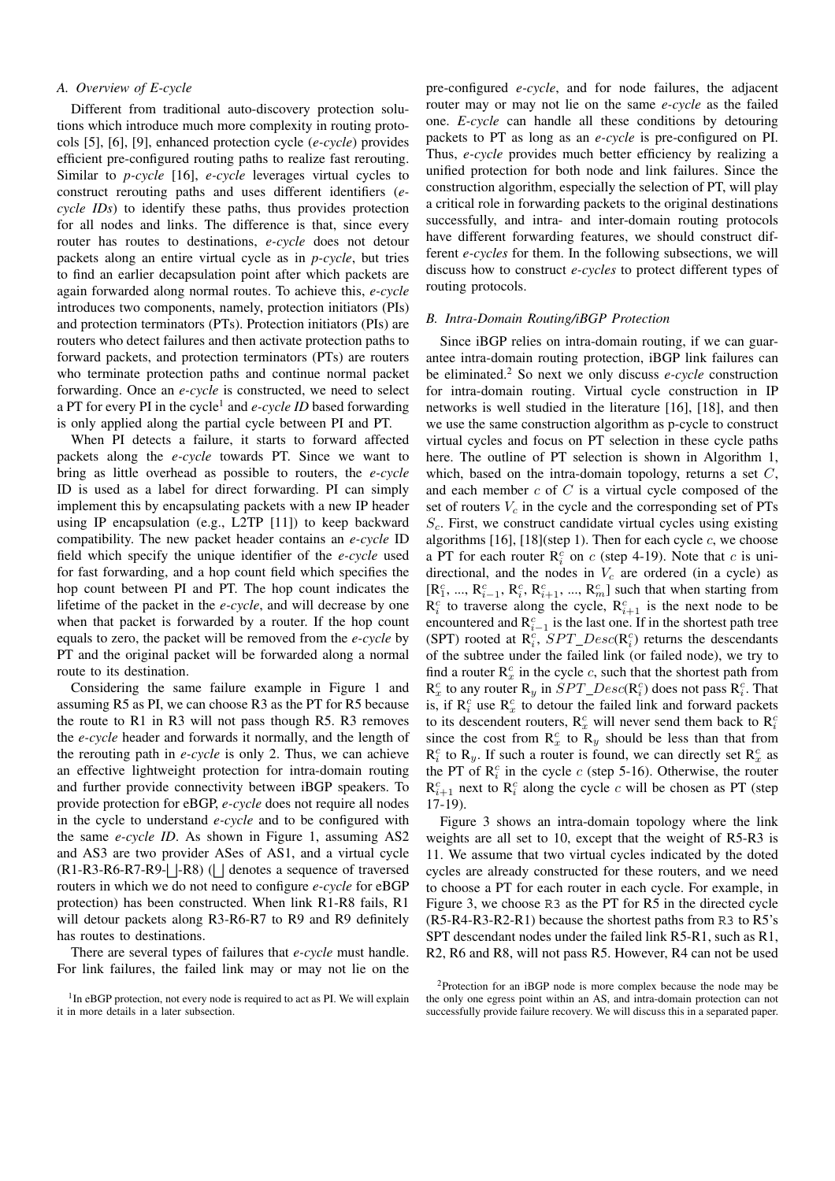# *A. Overview of E-cycle*

Different from traditional auto-discovery protection solutions which introduce much more complexity in routing protocols [5], [6], [9], enhanced protection cycle (*e-cycle*) provides efficient pre-configured routing paths to realize fast rerouting. Similar to *p-cycle* [16], *e-cycle* leverages virtual cycles to construct rerouting paths and uses different identifiers (*ecycle IDs*) to identify these paths, thus provides protection for all nodes and links. The difference is that, since every router has routes to destinations, *e-cycle* does not detour packets along an entire virtual cycle as in *p-cycle*, but tries to find an earlier decapsulation point after which packets are again forwarded along normal routes. To achieve this, *e-cycle* introduces two components, namely, protection initiators (PIs) and protection terminators (PTs). Protection initiators (PIs) are routers who detect failures and then activate protection paths to forward packets, and protection terminators (PTs) are routers who terminate protection paths and continue normal packet forwarding. Once an *e-cycle* is constructed, we need to select a PT for every PI in the cycle<sup>1</sup> and *e-cycle ID* based forwarding is only applied along the partial cycle between PI and PT.

When PI detects a failure, it starts to forward affected packets along the *e-cycle* towards PT. Since we want to bring as little overhead as possible to routers, the *e-cycle* ID is used as a label for direct forwarding. PI can simply implement this by encapsulating packets with a new IP header using IP encapsulation (e.g., L2TP [11]) to keep backward compatibility. The new packet header contains an *e-cycle* ID field which specify the unique identifier of the *e-cycle* used for fast forwarding, and a hop count field which specifies the hop count between PI and PT. The hop count indicates the lifetime of the packet in the *e-cycle*, and will decrease by one when that packet is forwarded by a router. If the hop count equals to zero, the packet will be removed from the *e-cycle* by PT and the original packet will be forwarded along a normal route to its destination.

Considering the same failure example in Figure 1 and assuming R5 as PI, we can choose R3 as the PT for R5 because the route to R1 in R3 will not pass though R5. R3 removes the *e-cycle* header and forwards it normally, and the length of the rerouting path in *e-cycle* is only 2. Thus, we can achieve an effective lightweight protection for intra-domain routing and further provide connectivity between iBGP speakers. To provide protection for eBGP, *e-cycle* does not require all nodes in the cycle to understand *e-cycle* and to be configured with the same *e-cycle ID*. As shown in Figure 1, assuming AS2 and AS3 are two provider ASes of AS1, and a virtual cycle  $(R1-R3-R6-R7-R9 \Box$ -R8) ( $\Box$  denotes a sequence of traversed routers in which we do not need to configure *e-cycle* for eBGP protection) has been constructed. When link R1-R8 fails, R1 will detour packets along R3-R6-R7 to R9 and R9 definitely has routes to destinations.

There are several types of failures that *e-cycle* must handle. For link failures, the failed link may or may not lie on the pre-configured *e-cycle*, and for node failures, the adjacent router may or may not lie on the same *e-cycle* as the failed one. *E-cycle* can handle all these conditions by detouring packets to PT as long as an *e-cycle* is pre-configured on PI. Thus, *e-cycle* provides much better efficiency by realizing a unified protection for both node and link failures. Since the construction algorithm, especially the selection of PT, will play a critical role in forwarding packets to the original destinations successfully, and intra- and inter-domain routing protocols have different forwarding features, we should construct different *e-cycles* for them. In the following subsections, we will discuss how to construct *e-cycles* to protect different types of routing protocols.

## *B. Intra-Domain Routing/iBGP Protection*

Since iBGP relies on intra-domain routing, if we can guarantee intra-domain routing protection, iBGP link failures can be eliminated.<sup>2</sup> So next we only discuss *e-cycle* construction for intra-domain routing. Virtual cycle construction in IP networks is well studied in the literature [16], [18], and then we use the same construction algorithm as p-cycle to construct virtual cycles and focus on PT selection in these cycle paths here. The outline of PT selection is shown in Algorithm 1, which, based on the intra-domain topology, returns a set *C*, and each member *c* of *C* is a virtual cycle composed of the set of routers  $V_c$  in the cycle and the corresponding set of PTs *Sc*. First, we construct candidate virtual cycles using existing algorithms [16], [18](step 1). Then for each cycle *c*, we choose a PT for each router  $R_i^c$  on *c* (step 4-19). Note that *c* is unidirectional, and the nodes in  $V_c$  are ordered (in a cycle) as  $[R_1^c, ..., R_{i-1}^c, R_i^c, R_{i+1}^c, ..., R_m^c]$  such that when starting from  $R_i^c$  to traverse along the cycle,  $R_{i+1}^c$  is the next node to be encountered and  $R_{i-1}^c$  is the last one. If in the shortest path tree (SPT) rooted at  $\overline{R}_i^c$ ,  $SPT\_Desc(\overline{R}_i^c)$  returns the descendants of the subtree under the failed link (or failed node), we try to find a router  $R_x^c$  in the cycle  $c$ , such that the shortest path from  $R_x^c$  to any router  $R_y$  in  $SPT\_Desc(R_i^c)$  does not pass  $R_i^c$ . That is, if  $\mathbb{R}_i^c$  use  $\mathbb{R}_x^c$  to detour the failed link and forward packets to its descendent routers,  $R_x^c$  will never send them back to  $R_i^c$ since the cost from  $\mathbb{R}_x^c$  to  $\mathbb{R}_y$  should be less than that from  $R_i^c$  to  $R_y$ . If such a router is found, we can directly set  $R_x^c$  as the PT of  $\mathbb{R}^c_i$  in the cycle *c* (step 5-16). Otherwise, the router  $R_{i+1}^c$  next to  $R_i^c$  along the cycle *c* will be chosen as PT (step 17-19).

Figure 3 shows an intra-domain topology where the link weights are all set to 10, except that the weight of R5-R3 is 11. We assume that two virtual cycles indicated by the doted cycles are already constructed for these routers, and we need to choose a PT for each router in each cycle. For example, in Figure 3, we choose R3 as the PT for R5 in the directed cycle (R5-R4-R3-R2-R1) because the shortest paths from R3 to R5's SPT descendant nodes under the failed link R5-R1, such as R1, R2, R6 and R8, will not pass R5. However, R4 can not be used

<sup>&</sup>lt;sup>1</sup>In eBGP protection, not every node is required to act as PI. We will explain it in more details in a later subsection.

<sup>2</sup>Protection for an iBGP node is more complex because the node may be the only one egress point within an AS, and intra-domain protection can not successfully provide failure recovery. We will discuss this in a separated paper.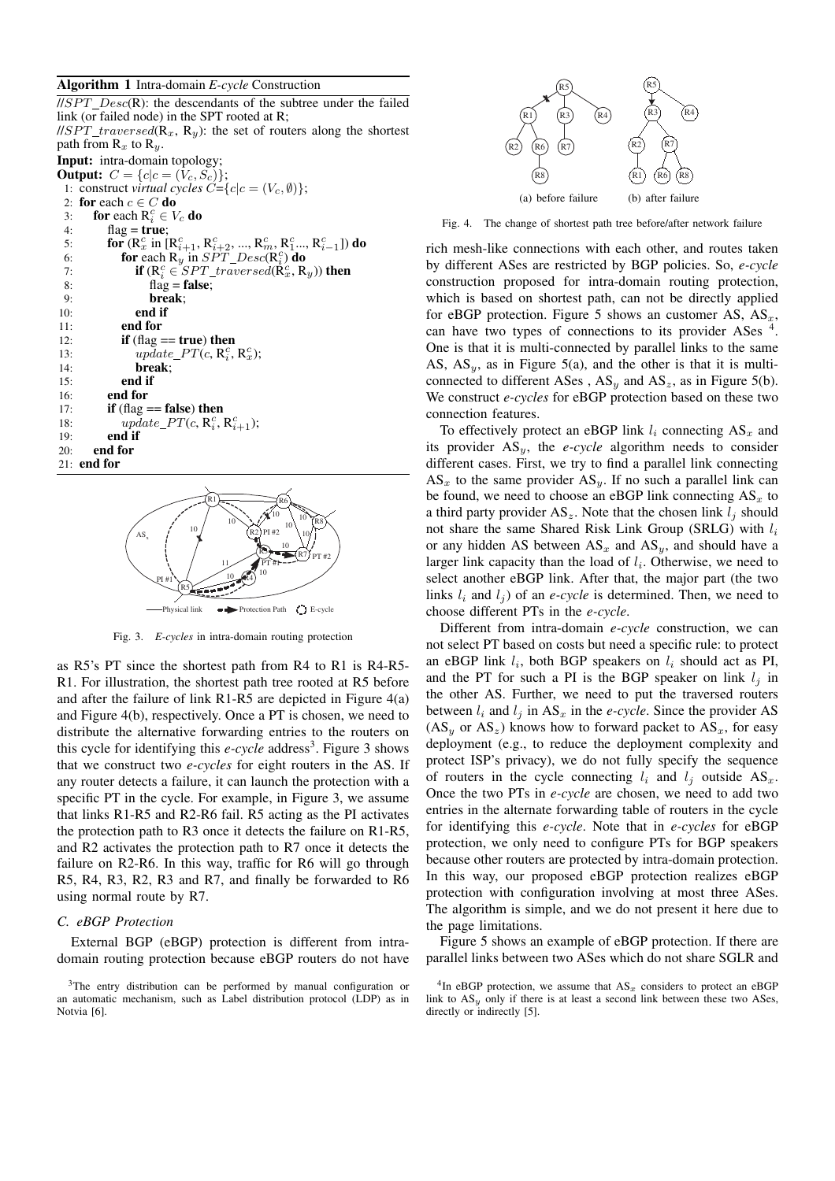#### **Algorithm 1** Intra-domain *E-cycle* Construction



Fig. 3. *E-cycles* in intra-domain routing protection

as R5's PT since the shortest path from R4 to R1 is R4-R5- R1. For illustration, the shortest path tree rooted at R5 before and after the failure of link R1-R5 are depicted in Figure 4(a) and Figure 4(b), respectively. Once a PT is chosen, we need to distribute the alternative forwarding entries to the routers on this cycle for identifying this  $e$ -cycle address<sup>3</sup>. Figure 3 shows that we construct two *e-cycles* for eight routers in the AS. If any router detects a failure, it can launch the protection with a specific PT in the cycle. For example, in Figure 3, we assume that links R1-R5 and R2-R6 fail. R5 acting as the PI activates the protection path to R3 once it detects the failure on R1-R5, and R2 activates the protection path to R7 once it detects the failure on R2-R6. In this way, traffic for R6 will go through R5, R4, R3, R2, R3 and R7, and finally be forwarded to R6 using normal route by R7.

#### *C. eBGP Protection*

External BGP (eBGP) protection is different from intradomain routing protection because eBGP routers do not have



Fig. 4. The change of shortest path tree before/after network failure

rich mesh-like connections with each other, and routes taken by different ASes are restricted by BGP policies. So, *e-cycle* construction proposed for intra-domain routing protection, which is based on shortest path, can not be directly applied for eBGP protection. Figure 5 shows an customer AS, AS*x*, can have two types of connections to its provider ASes  $\frac{4}{3}$ One is that it is multi-connected by parallel links to the same AS,  $AS_y$ , as in Figure 5(a), and the other is that it is multiconnected to different ASes,  $AS_y$  and  $AS_z$ , as in Figure 5(b). We construct *e-cycles* for eBGP protection based on these two connection features.

To effectively protect an eBGP link  $l_i$  connecting  $AS_x$  and its provider AS*y*, the *e-cycle* algorithm needs to consider different cases. First, we try to find a parallel link connecting  $AS_x$  to the same provider  $AS_y$ . If no such a parallel link can be found, we need to choose an eBGP link connecting  $AS_x$  to a third party provider  $AS_z$ . Note that the chosen link  $l_j$  should not share the same Shared Risk Link Group (SRLG) with *l<sup>i</sup>* or any hidden AS between  $AS_x$  and  $AS_y$ , and should have a larger link capacity than the load of *li*. Otherwise, we need to select another eBGP link. After that, the major part (the two links  $l_i$  and  $l_j$ ) of an *e-cycle* is determined. Then, we need to choose different PTs in the *e-cycle*.

Different from intra-domain *e-cycle* construction, we can not select PT based on costs but need a specific rule: to protect an eBGP link  $l_i$ , both BGP speakers on  $l_i$  should act as PI, and the PT for such a PI is the BGP speaker on link  $l_j$  in the other AS. Further, we need to put the traversed routers between  $l_i$  and  $l_j$  in  $AS_x$  in the *e-cycle*. Since the provider AS  $(AS<sub>y</sub>$  or  $AS<sub>z</sub>)$  knows how to forward packet to  $AS<sub>x</sub>$ , for easy deployment (e.g., to reduce the deployment complexity and protect ISP's privacy), we do not fully specify the sequence of routers in the cycle connecting  $l_i$  and  $l_j$  outside AS<sub>x</sub>. Once the two PTs in *e-cycle* are chosen, we need to add two entries in the alternate forwarding table of routers in the cycle for identifying this *e-cycle*. Note that in *e-cycles* for eBGP protection, we only need to configure PTs for BGP speakers because other routers are protected by intra-domain protection. In this way, our proposed eBGP protection realizes eBGP protection with configuration involving at most three ASes. The algorithm is simple, and we do not present it here due to the page limitations.

Figure 5 shows an example of eBGP protection. If there are parallel links between two ASes which do not share SGLR and

<sup>&</sup>lt;sup>3</sup>The entry distribution can be performed by manual configuration or an automatic mechanism, such as Label distribution protocol (LDP) as in Notvia [6].

<sup>&</sup>lt;sup>4</sup>In eBGP protection, we assume that  $AS_x$  considers to protect an eBGP link to  $AS_y$  only if there is at least a second link between these two ASes, directly or indirectly [5].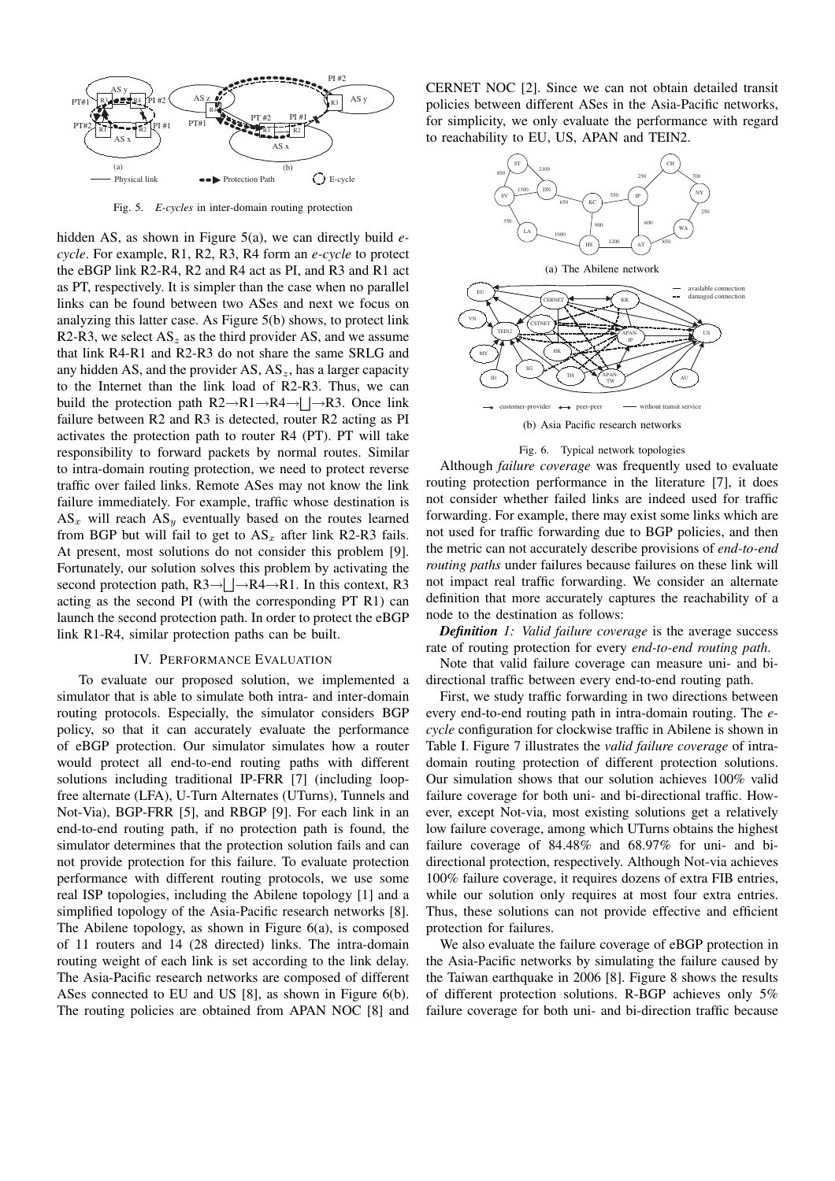

Fig. 5. *E-cycles* in inter-domain routing protection

hidden AS, as shown in Figure 5(a), we can directly build *ecycle*. For example, R1, R2, R3, R4 form an *e-cycle* to protect the eBGP link R2-R4, R2 and R4 act as PI, and R3 and R1 act as PT, respectively. It is simpler than the case when no parallel links can be found between two ASes and next we focus on analyzing this latter case. As Figure 5(b) shows, to protect link R2-R3, we select  $AS_z$  as the third provider AS, and we assume that link R4-R1 and R2-R3 do not share the same SRLG and any hidden AS, and the provider AS, AS*z*, has a larger capacity to the Internet than the link load of R2-R3. Thus, we can build the protection path  $R2 \rightarrow R1 \rightarrow R4 \rightarrow \Box R3$ . Once link failure between R2 and R3 is detected, router R2 acting as PI activates the protection path to router R4 (PT). PT will take responsibility to forward packets by normal routes. Similar to intra-domain routing protection, we need to protect reverse traffic over failed links. Remote ASes may not know the link failure immediately. For example, traffic whose destination is  $AS_x$  will reach  $AS_y$  eventually based on the routes learned from BGP but will fail to get to  $AS_x$  after link R2-R3 fails. At present, most solutions do not consider this problem [9]. Fortunately, our solution solves this problem by activating the second protection path,  $R3 \rightarrow \Box R4 \rightarrow R1$ . In this context, R3 acting as the second PI (with the corresponding PT R1) can launch the second protection path. In order to protect the eBGP link R1-R4, similar protection paths can be built.

#### IV. PERFORMANCE EVALUATION

To evaluate our proposed solution, we implemented a simulator that is able to simulate both intra- and inter-domain routing protocols. Especially, the simulator considers BGP policy, so that it can accurately evaluate the performance of eBGP protection. Our simulator simulates how a router would protect all end-to-end routing paths with different solutions including traditional IP-FRR [7] (including loopfree alternate (LFA), U-Turn Alternates (UTurns), Tunnels and Not-Via), BGP-FRR [5], and RBGP [9]. For each link in an end-to-end routing path, if no protection path is found, the simulator determines that the protection solution fails and can not provide protection for this failure. To evaluate protection performance with different routing protocols, we use some real ISP topologies, including the Abilene topology [1] and a simplified topology of the Asia-Pacific research networks [8]. The Abilene topology, as shown in Figure 6(a), is composed of 11 routers and 14 (28 directed) links. The intra-domain routing weight of each link is set according to the link delay. The Asia-Pacific research networks are composed of different ASes connected to EU and US [8], as shown in Figure 6(b). The routing policies are obtained from APAN NOC [8] and

CERNET NOC [2]. Since we can not obtain detailed transit policies between different ASes in the Asia-Pacific networks, for simplicity, we only evaluate the performance with regard to reachability to EU, US, APAN and TEIN2.



#### Fig. 6. Typical network topologies

Although *failure coverage* was frequently used to evaluate routing protection performance in the literature [7], it does not consider whether failed links are indeed used for traffic forwarding. For example, there may exist some links which are not used for traffic forwarding due to BGP policies, and then the metric can not accurately describe provisions of *end-to-end routing paths* under failures because failures on these link will not impact real traffic forwarding. We consider an alternate definition that more accurately captures the reachability of a node to the destination as follows:

*Definition 1: Valid failure coverage* is the average success rate of routing protection for every *end-to-end routing path*.

Note that valid failure coverage can measure uni- and bidirectional traffic between every end-to-end routing path.

First, we study traffic forwarding in two directions between every end-to-end routing path in intra-domain routing. The *ecycle* configuration for clockwise traffic in Abilene is shown in Table I. Figure 7 illustrates the *valid failure coverage* of intradomain routing protection of different protection solutions. Our simulation shows that our solution achieves 100% valid failure coverage for both uni- and bi-directional traffic. However, except Not-via, most existing solutions get a relatively low failure coverage, among which UTurns obtains the highest failure coverage of 84.48% and 68.97% for uni- and bidirectional protection, respectively. Although Not-via achieves 100% failure coverage, it requires dozens of extra FIB entries, while our solution only requires at most four extra entries. Thus, these solutions can not provide effective and efficient protection for failures.

We also evaluate the failure coverage of eBGP protection in the Asia-Pacific networks by simulating the failure caused by the Taiwan earthquake in 2006 [8]. Figure 8 shows the results of different protection solutions. R-BGP achieves only 5% failure coverage for both uni- and bi-direction traffic because